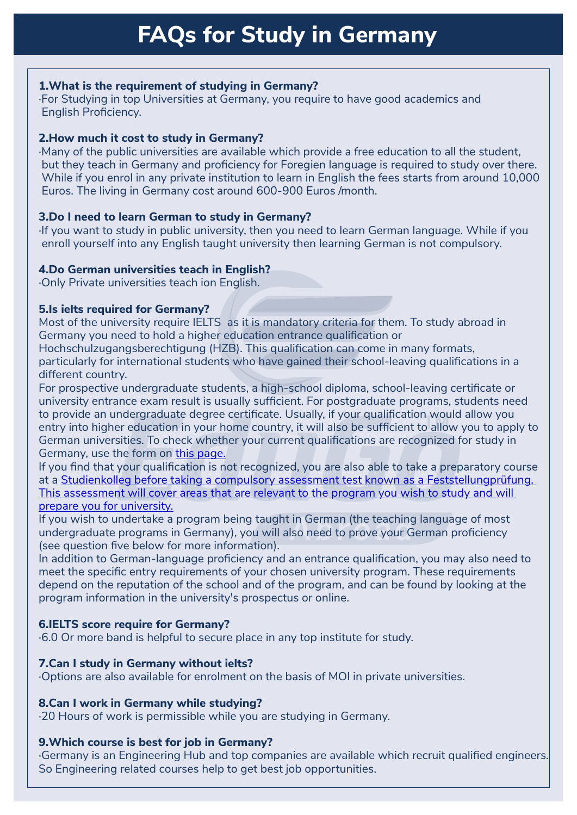## **1. What is the requirement of studying in Germany?**

·For Studying in top Universities at Germany, you require to have good academics and English Proficiency.

## **2. How much it cost to study in Germany?**

·Many of the public universities are available which provide a free education to all the student, but they teach in Germany and proficiency for Foregien language is required to study over there. While if you enrol in any private institution to learn in English the fees starts from around 10,000 Euros. The living in Germany cost around 600-900 Euros /month.

# **3. Do I need to learn German to study in Germany?**

·I f you want to study in public university, then you need to learn German language. While if you enroll yourself into any English taught university then learning German is not compulsory.

# **4. Do German universities teach in English?**

·Only Private universities teach ion English.

## **5. Is ielts required for Germany?**

Most of the university require IELTS as it is mandatory criteria for them. To study abroad in Germany you need to hold a higher education entrance qualification or

Hochschulzugangsberechtigung (HZB). This qualification can come in many formats, particularly for international students who have gained their school-leaving qualifications in a different country.

to provide an undergraduate degree certificate. Osually, if your qualification would allow you<br>entry into higher education in your home country, it will also be sufficient to allow you to apply to For prospective undergraduate students, a high-school diploma, school-leaving certificate or university entrance exam result is usually sufficient. For postgraduate programs, students need to provide an undergraduate degree certificate. Usually, if your qualification would allow you German universities. To check whether your current qualifications are recognized for study in Germany, use the form on [this page.](https://www.daad.de/deutschland/nach-deutschland/voraussetzungen/en/6017-the-right-higher-education-qualification/)

If you find that your qualification is not recognized, you are also able to take a preparatory course at a [Studienkolleg before taking a compulsory assessment test known as a Feststellungprüfung.](http://www.studienkollegs.de/)  [This assessment will cover areas that are relevant to the program you wish to study and will](http://www.studienkollegs.de/)  [prepare you for university.](http://www.studienkollegs.de/)

If you wish to undertake a program being taught in German (the teaching language of most undergraduate programs in Germany), you will also need to prove your German proficiency (see question five below for more information).

In addition to German-language proficiency and an entrance qualification, you may also need to meet the specific entry requirements of your chosen university program. These requirements depend on the reputation of the school and of the program, and can be found by looking at the program information in the university's prospectus or online.

# **6. IELTS score require for Germany?**

·6.0 Or more band is helpful to secure place in any top institute for study.

## **7. Can I study in Germany without ielts?**

·Options are also available for enrolment on the basis of MOI in private universities.

## **8. Can I work in Germany while studying?**

·20 Hours of work is permissible while you are studying in Germany.

## **9. Which course is best for job in Germany?**

·Germany is an Engineering Hub and top companies are available which recruit qualified engineers. So Engineering related courses help to get best job opportunities.